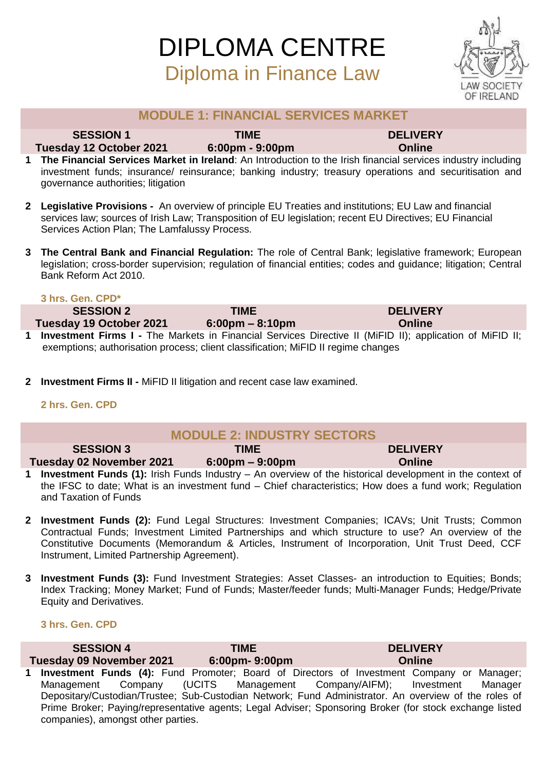

### **MODULE 1: FINANCIAL SERVICES MARKET**

**SESSION 1 TIME DELIVERY**

**Tuesday 12 October 2021 6:00pm - 9:00pm Online** 

- **1 The Financial Services Market in Ireland**: An Introduction to the Irish financial services industry including investment funds; insurance/ reinsurance; banking industry; treasury operations and securitisation and governance authorities; litigation
- **2 Legislative Provisions -** An overview of principle EU Treaties and institutions; EU Law and financial services law; sources of Irish Law; Transposition of EU legislation; recent EU Directives; EU Financial Services Action Plan; The Lamfalussy Process.
- **3 The Central Bank and Financial Regulation:** The role of Central Bank; legislative framework; European legislation; cross-border supervision; regulation of financial entities; codes and guidance; litigation; Central Bank Reform Act 2010.

### **3 hrs. Gen. CPD\***

**SESSION 2 TIME DELIVERY Tuesday 19 October 2021 6:00pm – 8:10pm Online 1 Investment Firms I -** The Markets in Financial Services Directive II (MiFID II); application of MiFID II; exemptions; authorisation process; client classification; MiFID II regime changes

**2 Investment Firms II -** MiFID II litigation and recent case law examined.

### **2 hrs. Gen. CPD**

| <b>MODULE 2: INDUSTRY SECTORS</b> |                                   |                 |  |
|-----------------------------------|-----------------------------------|-----------------|--|
| <b>SESSION 3</b>                  | TIME                              | <b>DELIVERY</b> |  |
| Tuesday 02 November 2021          | $6:00 \text{pm} - 9:00 \text{pm}$ | <b>Online</b>   |  |
|                                   |                                   |                 |  |

- **1 Investment Funds (1):** Irish Funds Industry – An overview of the historical development in the context of the IFSC to date; What is an investment fund – Chief characteristics; How does a fund work; Regulation and Taxation of Funds
- **2 Investment Funds (2):** Fund Legal Structures: Investment Companies; ICAVs; Unit Trusts; Common Contractual Funds; Investment Limited Partnerships and which structure to use? An overview of the Constitutive Documents (Memorandum & Articles, Instrument of Incorporation, Unit Trust Deed, CCF Instrument, Limited Partnership Agreement).
- **3 Investment Funds (3):** Fund Investment Strategies: Asset Classes- an introduction to Equities: Bonds: Index Tracking; Money Market; Fund of Funds; Master/feeder funds; Multi-Manager Funds; Hedge/Private Equity and Derivatives.

### **3 hrs. Gen. CPD**

| <b>SESSION 4</b>                   | TIME          | <b>DELIVERY</b>                                                                                         |  |
|------------------------------------|---------------|---------------------------------------------------------------------------------------------------------|--|
| <b>Tuesday 09 November 2021</b>    | 6:00pm-9:00pm | Online                                                                                                  |  |
|                                    |               | 1 Investment Funds (4): Fund Promoter; Board of Directors of Investment Company or Manager;             |  |
|                                    |               | Management Company (UCITS Management Company/AIFM); Investment Manager                                  |  |
|                                    |               | Depositary/Custodian/Trustee; Sub-Custodian Network; Fund Administrator. An overview of the roles of    |  |
|                                    |               | Prime Broker; Paying/representative agents; Legal Adviser; Sponsoring Broker (for stock exchange listed |  |
| companies), amongst other parties. |               |                                                                                                         |  |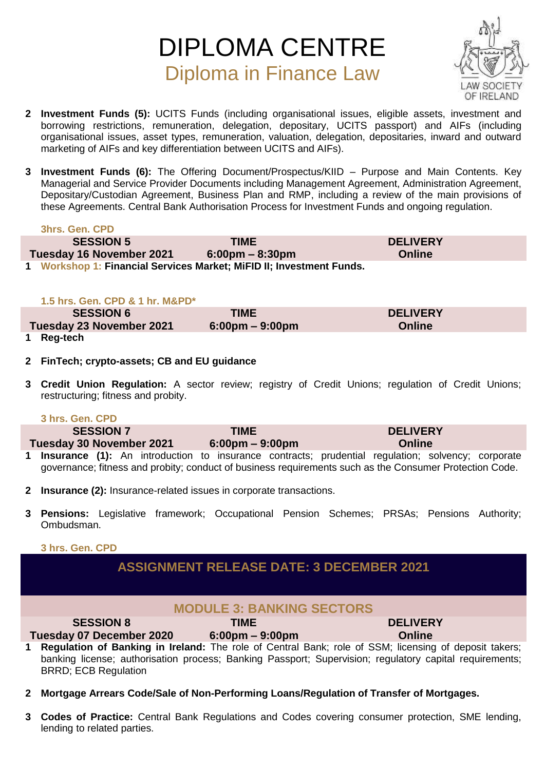

- **2 Investment Funds (5):** UCITS Funds (including organisational issues, eligible assets, investment and borrowing restrictions, remuneration, delegation, depositary, UCITS passport) and AIFs (including organisational issues, asset types, remuneration, valuation, delegation, depositaries, inward and outward marketing of AIFs and key differentiation between UCITS and AIFs).
- **3 Investment Funds (6):** The Offering Document/Prospectus/KIID Purpose and Main Contents. Key Managerial and Service Provider Documents including Management Agreement, Administration Agreement, Depositary/Custodian Agreement, Business Plan and RMP, including a review of the main provisions of these Agreements. Central Bank Authorisation Process for Investment Funds and ongoing regulation.

### **3hrs. Gen. CPD**

| <b>SESSION 5</b>         | TIME                                                              | <b>DELIVERY</b> |
|--------------------------|-------------------------------------------------------------------|-----------------|
| Tuesday 16 November 2021 | $6:00 \text{pm} - 8:30 \text{pm}$                                 | <b>Online</b>   |
|                          | Workshon 1: Financial Services Market: MiFID II: Investment Funds |                 |

**1 Workshop 1: Financial Services Market; MiFID II; Investment Funds.** 

### **1.5 hrs. Gen. CPD & 1 hr. M&PD\***

| <b>SESSION 6</b>         | <b>TIME</b>                       | <b>DELIVERY</b> |
|--------------------------|-----------------------------------|-----------------|
| Tuesday 23 November 2021 | $6:00 \text{pm} - 9:00 \text{pm}$ | <b>Online</b>   |
| 1 Rag-tach               |                                   |                 |

**1 Reg-tech** 

### **2 FinTech; crypto-assets; CB and EU guidance**

- **3 Credit Union Regulation:** A sector review; registry of Credit Unions; regulation of Credit Unions; restructuring; fitness and probity.
	- **3 hrs. Gen. CPD**

| <b>SESSION 7</b>                | <b>TIME</b>                       | <b>DELIVERY</b>                                                                                  |
|---------------------------------|-----------------------------------|--------------------------------------------------------------------------------------------------|
| <b>Tuesday 30 November 2021</b> | $6:00 \text{pm} - 9:00 \text{pm}$ | <b>Online</b>                                                                                    |
|                                 |                                   | 4. Hagamanaa 140. As totasikattaa ta taanaanaa santaanaa santaatta sannistanaa sakeessa samaanaa |

- **1 Insurance (1):** An introduction to insurance contracts; prudential regulation; solvency; corporate governance; fitness and probity; conduct of business requirements such as the Consumer Protection Code.
- **2 Insurance (2):** Insurance-related issues in corporate transactions.
- **3 Pensions:** Legislative framework; Occupational Pension Schemes; PRSAs; Pensions Authority; Ombudsman.

### **3 hrs. Gen. CPD**

## **ASSIGNMENT RELEASE DATE: 3 DECEMBER 2021**

## **MODULE 3: BANKING SECTORS**

### **SESSION 8 TIME DELIVERY Tuesday 07 December 2020 6:00pm – 9:00pm Online**

**1 Regulation of Banking in Ireland:** The role of Central Bank; role of SSM; licensing of deposit takers; banking license; authorisation process; Banking Passport; Supervision; regulatory capital requirements; BRRD; ECB Regulation

- **2 Mortgage Arrears Code/Sale of Non-Performing Loans/Regulation of Transfer of Mortgages.**
- **3 Codes of Practice:** Central Bank Regulations and Codes covering consumer protection, SME lending, lending to related parties.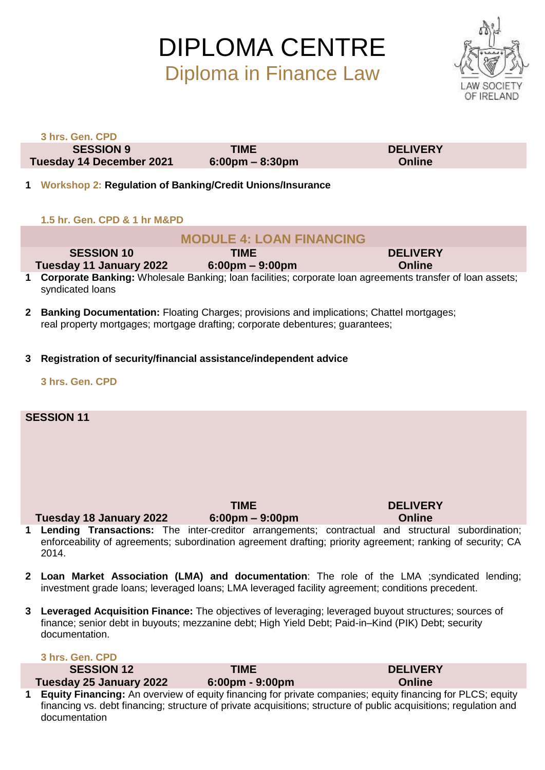

|              | 3 hrs. Gen. CPD                                                                                                                                                                  |                                                  |                                                                                                                                                                                                                   |  |
|--------------|----------------------------------------------------------------------------------------------------------------------------------------------------------------------------------|--------------------------------------------------|-------------------------------------------------------------------------------------------------------------------------------------------------------------------------------------------------------------------|--|
|              | <b>SESSION 9</b>                                                                                                                                                                 | <b>TIME</b>                                      | <b>DELIVERY</b>                                                                                                                                                                                                   |  |
|              | Tuesday 14 December 2021                                                                                                                                                         | $6:00 \text{pm} - 8:30 \text{pm}$                | <b>Online</b>                                                                                                                                                                                                     |  |
|              | 1 Workshop 2: Regulation of Banking/Credit Unions/Insurance                                                                                                                      |                                                  |                                                                                                                                                                                                                   |  |
|              | 1.5 hr. Gen. CPD & 1 hr M&PD                                                                                                                                                     |                                                  |                                                                                                                                                                                                                   |  |
|              |                                                                                                                                                                                  | <b>MODULE 4: LOAN FINANCING</b>                  |                                                                                                                                                                                                                   |  |
|              | <b>SESSION 10</b><br>Tuesday 11 January 2022                                                                                                                                     | <b>TIME</b><br>$6:00 \text{pm} - 9:00 \text{pm}$ | <b>DELIVERY</b><br><b>Online</b>                                                                                                                                                                                  |  |
| 1            | syndicated loans                                                                                                                                                                 |                                                  | <b>Corporate Banking:</b> Wholesale Banking; loan facilities; corporate loan agreements transfer of loan assets;                                                                                                  |  |
| $\mathbf{2}$ | <b>Banking Documentation:</b> Floating Charges; provisions and implications; Chattel mortgages;<br>real property mortgages; mortgage drafting; corporate debentures; guarantees; |                                                  |                                                                                                                                                                                                                   |  |
| 3            | Registration of security/financial assistance/independent advice                                                                                                                 |                                                  |                                                                                                                                                                                                                   |  |
|              | 3 hrs. Gen. CPD                                                                                                                                                                  |                                                  |                                                                                                                                                                                                                   |  |
|              | <b>SESSION 11</b>                                                                                                                                                                |                                                  |                                                                                                                                                                                                                   |  |
|              |                                                                                                                                                                                  |                                                  |                                                                                                                                                                                                                   |  |
|              |                                                                                                                                                                                  |                                                  |                                                                                                                                                                                                                   |  |
|              |                                                                                                                                                                                  |                                                  |                                                                                                                                                                                                                   |  |
|              |                                                                                                                                                                                  |                                                  |                                                                                                                                                                                                                   |  |
|              |                                                                                                                                                                                  |                                                  |                                                                                                                                                                                                                   |  |
|              |                                                                                                                                                                                  | <b>TIME</b>                                      | <b>DELIVERY</b>                                                                                                                                                                                                   |  |
|              | Tuesday 18 January 2022 6:00pm - 9:00pm                                                                                                                                          |                                                  | <b>Online</b>                                                                                                                                                                                                     |  |
|              | 2014.                                                                                                                                                                            |                                                  | 1 Lending Transactions: The inter-creditor arrangements; contractual and structural subordination;<br>enforceability of agreements; subordination agreement drafting; priority agreement; ranking of security; CA |  |
| $\mathbf{2}$ | investment grade loans; leveraged loans; LMA leveraged facility agreement; conditions precedent.                                                                                 |                                                  | Loan Market Association (LMA) and documentation: The role of the LMA ; syndicated lending;                                                                                                                        |  |
| 3            | finance; senior debt in buyouts; mezzanine debt; High Yield Debt; Paid-in-Kind (PIK) Debt; security<br>documentation.                                                            |                                                  | Leveraged Acquisition Finance: The objectives of leveraging; leveraged buyout structures; sources of                                                                                                              |  |
|              | 3 hrs. Gen. CPD                                                                                                                                                                  |                                                  |                                                                                                                                                                                                                   |  |
|              | <b>SESSION 12</b>                                                                                                                                                                | <b>TIME</b>                                      | <b>DELIVERY</b>                                                                                                                                                                                                   |  |
|              | Tuesday 25 January 2022                                                                                                                                                          | 6:00pm - 9:00pm                                  | <b>Online</b>                                                                                                                                                                                                     |  |

**1 Equity Financing:** An overview of equity financing for private companies; equity financing for PLCS; equity financing vs. debt financing; structure of private acquisitions; structure of public acquisitions; regulation and documentation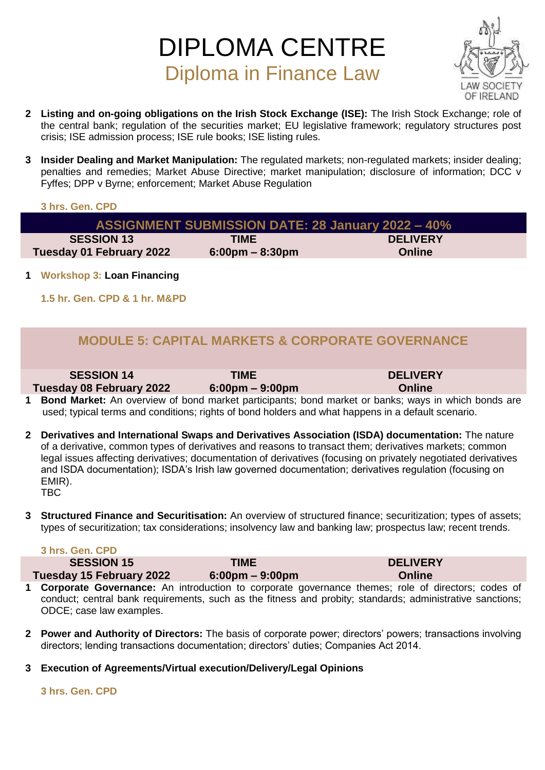

- **2 Listing and on-going obligations on the Irish Stock Exchange (ISE):** The Irish Stock Exchange; role of the central bank; regulation of the securities market; EU legislative framework; regulatory structures post crisis; ISE admission process; ISE rule books; ISE listing rules.
- **3 Insider Dealing and Market Manipulation:** The regulated markets; non-regulated markets; insider dealing; penalties and remedies; Market Abuse Directive; market manipulation; disclosure of information; DCC v Fyffes; DPP v Byrne; enforcement; Market Abuse Regulation

### **3 hrs. Gen. CPD**

| <b>ASSIGNMENT SUBMISSION DATE: 28 January 2022 - 40%</b> |                 |  |
|----------------------------------------------------------|-----------------|--|
| <b>TIME</b>                                              | <b>DELIVERY</b> |  |
| $6:00 \text{pm} - 8:30 \text{pm}$                        | <b>Online</b>   |  |
|                                                          |                 |  |

**1 Workshop 3: Loan Financing** 

**1.5 hr. Gen. CPD & 1 hr. M&PD**

## **MODULE 5: CAPITAL MARKETS & CORPORATE GOVERNANCE**

### **SESSION 14 TIME DELIVERY**

**Tuesday 08 February 2022 6:00pm – 9:00pm Online** 

- **1 Bond Market:** An overview of bond market participants; bond market or banks; ways in which bonds are used; typical terms and conditions; rights of bond holders and what happens in a default scenario.
- **2 Derivatives and International Swaps and Derivatives Association (ISDA) documentation:** The nature of a derivative, common types of derivatives and reasons to transact them; derivatives markets; common legal issues affecting derivatives; documentation of derivatives (focusing on privately negotiated derivatives and ISDA documentation); ISDA's Irish law governed documentation; derivatives regulation (focusing on EMIR). TBC
- **3 Structured Finance and Securitisation:** An overview of structured finance; securitization; types of assets; types of securitization; tax considerations; insolvency law and banking law; prospectus law; recent trends.

### **3 hrs. Gen. CPD**

**SESSION 15 TIME DELIVERY**

**Tuesday 15 February 2022 6:00pm – 9:00pm Online** 

- **1 Corporate Governance:** An introduction to corporate governance themes; role of directors; codes of conduct; central bank requirements, such as the fitness and probity; standards; administrative sanctions; ODCE; case law examples.
- **2 Power and Authority of Directors:** The basis of corporate power; directors' powers; transactions involving directors; lending transactions documentation; directors' duties; Companies Act 2014.
- **3 Execution of Agreements/Virtual execution/Delivery/Legal Opinions**

**3 hrs. Gen. CPD**